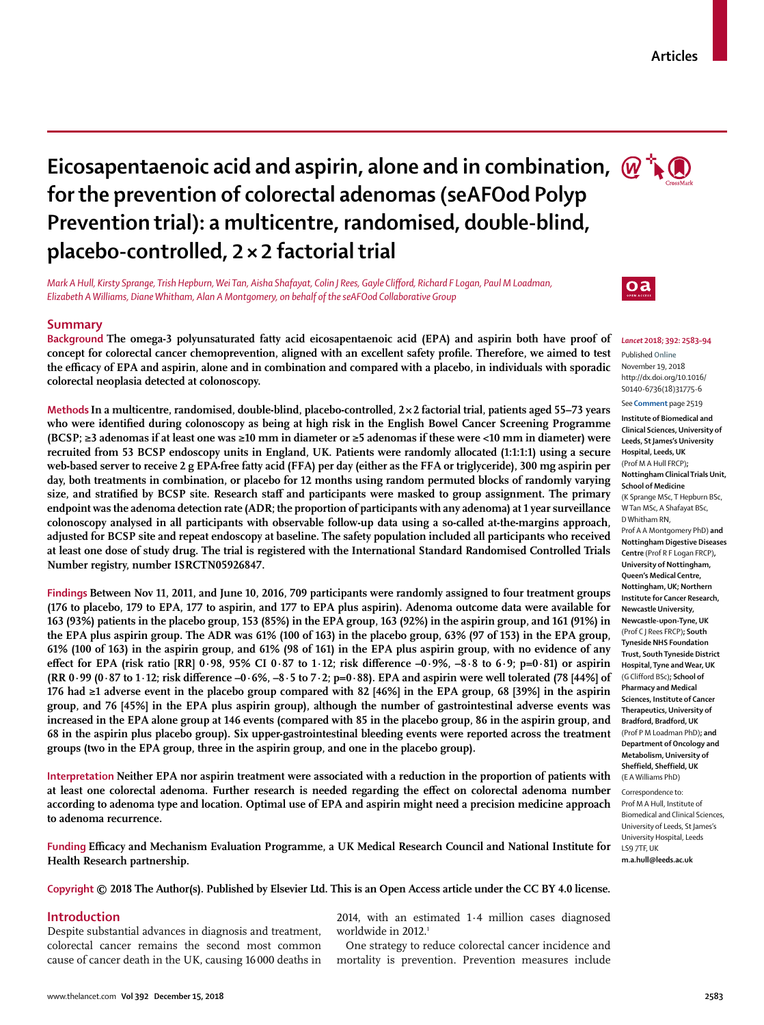# **Eicosapentaenoic acid and aspirin, alone and in combination,**  $\omega$  $\mathbf{R}$ **for the prevention of colorectal adenomas (seAFOod Polyp Prevention trial): a multicentre, randomised, double-blind, placebo-controlled, 2×2 factorial trial**

*Mark A Hull, Kirsty Sprange, Trish Hepburn, Wei Tan, Aisha Shafayat, Colin J Rees, Gayle Clifford, Richard F Logan, Paul M Loadman, Elizabeth A Williams, Diane Whitham, Alan A Montgomery, on behalf of the seAFOod Collaborative Group*

# **Summary**

**Background The omega-3 polyunsaturated fatty acid eicosapentaenoic acid (EPA) and aspirin both have proof of concept for colorectal cancer chemoprevention, aligned with an excellent safety profile. Therefore, we aimed to test the efficacy of EPA and aspirin, alone and in combination and compared with a placebo, in individuals with sporadic colorectal neoplasia detected at colonoscopy.**

**Methods In a multicentre, randomised, double-blind, placebo-controlled, 2×2 factorial trial, patients aged 55–73 years who were identified during colonoscopy as being at high risk in the English Bowel Cancer Screening Programme (BCSP; ≥3 adenomas if at least one was ≥10 mm in diameter or ≥5 adenomas if these were <10 mm in diameter) were recruited from 53 BCSP endoscopy units in England, UK. Patients were randomly allocated (1:1:1:1) using a secure web-based server to receive 2 g EPA-free fatty acid (FFA) per day (either as the FFA or triglyceride), 300 mg aspirin per day, both treatments in combination, or placebo for 12 months using random permuted blocks of randomly varying size, and stratified by BCSP site. Research staff and participants were masked to group assignment. The primary endpoint was the adenoma detection rate (ADR; the proportion of participants with any adenoma) at 1 year surveillance colonoscopy analysed in all participants with observable follow-up data using a so-called at-the-margins approach, adjusted for BCSP site and repeat endoscopy at baseline. The safety population included all participants who received at least one dose of study drug. The trial is registered with the International Standard Randomised Controlled Trials Number registry, number ISRCTN05926847.**

**Findings Between Nov 11, 2011, and June 10, 2016, 709 participants were randomly assigned to four treatment groups (176 to placebo, 179 to EPA, 177 to aspirin, and 177 to EPA plus aspirin). Adenoma outcome data were available for 163 (93%) patients in the placebo group, 153 (85%) in the EPA group, 163 (92%) in the aspirin group, and 161 (91%) in the EPA plus aspirin group. The ADR was 61% (100 of 163) in the placebo group, 63% (97 of 153) in the EPA group, 61% (100 of 163) in the aspirin group, and 61% (98 of 161) in the EPA plus aspirin group, with no evidence of any effect for EPA (risk ratio [RR] 0·98, 95% CI 0·87 to 1·12; risk difference –0·9%, –8·8 to 6·9; p=0·81) or aspirin (RR 0·99 (0·87 to 1·12; risk difference –0·6%, –8·5 to 7·2; p=0·88). EPA and aspirin were well tolerated (78 [44%] of 176 had ≥1 adverse event in the placebo group compared with 82 [46%] in the EPA group, 68 [39%] in the aspirin group, and 76 [45%] in the EPA plus aspirin group), although the number of gastrointestinal adverse events was increased in the EPA alone group at 146 events (compared with 85 in the placebo group, 86 in the aspirin group, and 68 in the aspirin plus placebo group). Six upper-gastrointestinal bleeding events were reported across the treatment groups (two in the EPA group, three in the aspirin group, and one in the placebo group).**

**Interpretation Neither EPA nor aspirin treatment were associated with a reduction in the proportion of patients with at least one colorectal adenoma. Further research is needed regarding the effect on colorectal adenoma number according to adenoma type and location. Optimal use of EPA and aspirin might need a precision medicine approach to adenoma recurrence.**

**Funding Efficacy and Mechanism Evaluation Programme, a UK Medical Research Council and National Institute for Health Research partnership.**

## **Copyright © 2018 The Author(s). Published by Elsevier Ltd. This is an Open Access article under the CC BY 4.0 license.**

# **Introduction**

Despite substantial advances in diagnosis and treatment, colorectal cancer remains the second most common cause of cancer death in the UK, causing 16000 deaths in 2014, with an estimated 1·4 million cases diagnosed worldwide in 2012.<sup>1</sup>

One strategy to reduce colorectal cancer incidence and mortality is prevention. Prevention measures include



 $\mathbf{a}$ 

*Lancet* **2018; 392: 2583–94**

Published **Online** November 19, 2018 http://dx.doi.org/10.1016/ S0140-6736(18)31775-6

```
See Comment page 2519
Institute of Biomedical and
```
**Clinical Sciences, University of Leeds, St James's University Hospital, Leeds, UK**  (Prof M A Hull FRCP)**; Nottingham Clinical Trials Unit, School of Medicine**  (K Sprange MSc, T Hepburn BSc, W Tan MSc, A Shafayat BSc, D Whitham RN, Prof A A Montgomery PhD) **and Nottingham Digestive Diseases Centre** (Prof R F Logan FRCP)**, University of Nottingham, Queen's Medical Centre, Nottingham, UK; Northern Institute for Cancer Research, Newcastle University, Newcastle-upon-Tyne, UK**  (Prof C J Rees FRCP)**; South Tyneside NHS Foundation Trust, South Tyneside District Hospital, Tyne and Wear, UK**  (G Clifford BSc)**; School of Pharmacy and Medical Sciences, Institute of Cancer Therapeutics, University of Bradford, Bradford, UK**  (Prof P M Loadman PhD)**; and Department of Oncology and Metabolism, University of Sheffield, Sheffield, UK**  (E A Williams PhD)

Correspondence to: Prof M A Hull, Institute of Biomedical and Clinical Sciences, University of Leeds, St James's University Hospital, Leeds LS9 7TF, UK **m.a.hull@leeds.ac.uk**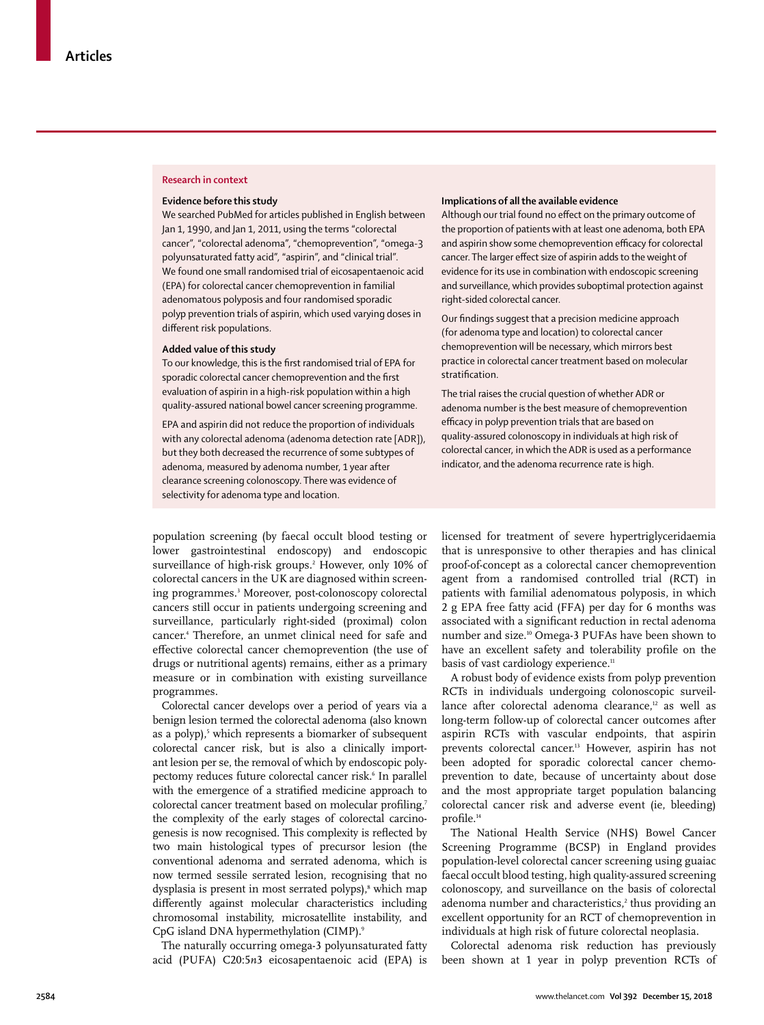## **Research in context**

## **Evidence before this study**

We searched PubMed for articles published in English between Jan 1, 1990, and Jan 1, 2011, using the terms "colorectal cancer", "colorectal adenoma", "chemoprevention", "omega-3 polyunsaturated fatty acid", "aspirin", and "clinical trial". We found one small randomised trial of eicosapentaenoic acid (EPA) for colorectal cancer chemoprevention in familial adenomatous polyposis and four randomised sporadic polyp prevention trials of aspirin, which used varying doses in different risk populations.

## **Added value of this study**

To our knowledge, this is the first randomised trial of EPA for sporadic colorectal cancer chemoprevention and the first evaluation of aspirin in a high-risk population within a high quality-assured national bowel cancer screening programme.

EPA and aspirin did not reduce the proportion of individuals with any colorectal adenoma (adenoma detection rate [ADR]), but they both decreased the recurrence of some subtypes of adenoma, measured by adenoma number, 1 year after clearance screening colonoscopy. There was evidence of selectivity for adenoma type and location.

#### **Implications of all the available evidence**

Although our trial found no effect on the primary outcome of the proportion of patients with at least one adenoma, both EPA and aspirin show some chemoprevention efficacy for colorectal cancer. The larger effect size of aspirin adds to the weight of evidence for its use in combination with endoscopic screening and surveillance, which provides suboptimal protection against right-sided colorectal cancer.

Our findings suggest that a precision medicine approach (for adenoma type and location) to colorectal cancer chemoprevention will be necessary, which mirrors best practice in colorectal cancer treatment based on molecular stratification.

The trial raises the crucial question of whether ADR or adenoma number is the best measure of chemoprevention efficacy in polyp prevention trials that are based on quality-assured colonoscopy in individuals at high risk of colorectal cancer, in which the ADR is used as a performance indicator, and the adenoma recurrence rate is high.

population screening (by faecal occult blood testing or lower gastrointestinal endoscopy) and endoscopic surveillance of high-risk groups.2 However, only 10% of colorectal cancers in the UK are diagnosed within screening programmes.3 Moreover, post-colonoscopy colorectal cancers still occur in patients undergoing screening and surveillance, particularly right-sided (proximal) colon cancer.4 Therefore, an unmet clinical need for safe and effective colorectal cancer chemoprevention (the use of drugs or nutritional agents) remains, either as a primary measure or in combination with existing surveillance programmes.

Colorectal cancer develops over a period of years via a benign lesion termed the colorectal adenoma (also known as a polyp),<sup>5</sup> which represents a biomarker of subsequent colorectal cancer risk, but is also a clinically important lesion per se, the removal of which by endoscopic polypectomy reduces future colorectal cancer risk.<sup>6</sup> In parallel with the emergence of a stratified medicine approach to colorectal cancer treatment based on molecular profiling,<sup>7</sup> the complexity of the early stages of colorectal carcinogenesis is now recognised. This complexity is reflected by two main histological types of precursor lesion (the conventional adenoma and serrated adenoma, which is now termed sessile serrated lesion, recognising that no dysplasia is present in most serrated polyps),<sup>8</sup> which map differently against molecular characteristics including chromosomal instability, microsatellite instability, and CpG island DNA hypermethylation (CIMP).9

The naturally occurring omega-3 polyunsaturated fatty acid (PUFA) C20:5*n*3 eicosapentaenoic acid (EPA) is licensed for treatment of severe hypertriglyceridaemia that is unresponsive to other therapies and has clinical proof-of-concept as a colorectal cancer chemoprevention agent from a randomised controlled trial (RCT) in patients with familial adenomatous polyposis, in which 2 g EPA free fatty acid (FFA) per day for 6 months was associated with a significant reduction in rectal adenoma number and size.10 Omega-3 PUFAs have been shown to have an excellent safety and tolerability profile on the basis of vast cardiology experience.<sup>11</sup>

A robust body of evidence exists from polyp prevention RCTs in individuals undergoing colonoscopic surveillance after colorectal adenoma clearance,<sup>12</sup> as well as long-term follow-up of colorectal cancer outcomes after aspirin RCTs with vascular endpoints, that aspirin prevents colorectal cancer.<sup>13</sup> However, aspirin has not been adopted for sporadic colorectal cancer chemoprevention to date, because of uncertainty about dose and the most appropriate target population balancing colorectal cancer risk and adverse event (ie, bleeding) profile.<sup>14</sup>

The National Health Service (NHS) Bowel Cancer Screening Programme (BCSP) in England provides population-level colorectal cancer screening using guaiac faecal occult blood testing, high quality-assured screening colonoscopy, and surveillance on the basis of colorectal adenoma number and characteristics,<sup>2</sup> thus providing an excellent opportunity for an RCT of chemoprevention in individuals at high risk of future colorectal neoplasia.

Colorectal adenoma risk reduction has previously been shown at 1 year in polyp prevention RCTs of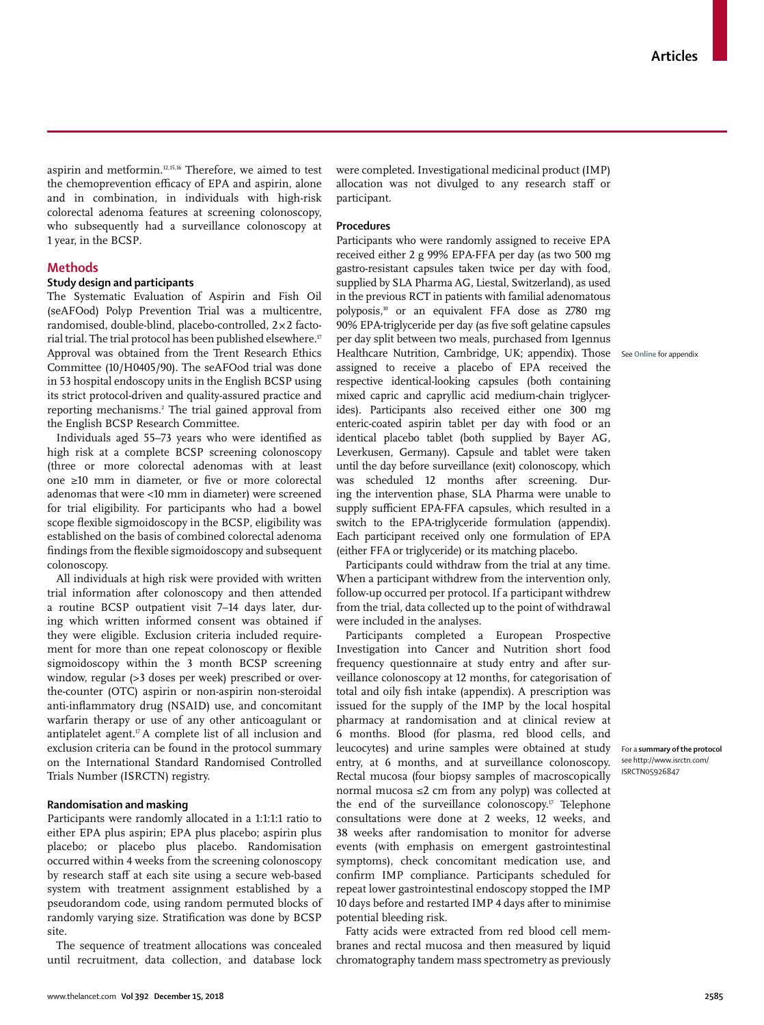aspirin and metformin.12,15,16 Therefore, we aimed to test the chemoprevention efficacy of EPA and aspirin, alone and in combination, in individuals with high-risk colorectal adenoma features at screening colonoscopy, who subsequently had a surveillance colonoscopy at 1 year, in the BCSP.

# **Methods**

# **Study design and participants**

The Systematic Evaluation of Aspirin and Fish Oil (seAFOod) Polyp Prevention Trial was a multicentre, randomised, double-blind, placebo-controlled, 2×2 factorial trial. The trial protocol has been published elsewhere.<sup>17</sup> Approval was obtained from the Trent Research Ethics Committee (10/H0405/90). The seAFOod trial was done in 53 hospital endoscopy units in the English BCSP using its strict protocol-driven and quality-assured practice and reporting mechanisms.2 The trial gained approval from the English BCSP Research Committee.

Individuals aged 55–73 years who were identified as high risk at a complete BCSP screening colonoscopy (three or more colorectal adenomas with at least one ≥10 mm in diameter, or five or more colorectal adenomas that were <10 mm in diameter) were screened for trial eligibility. For participants who had a bowel scope flexible sigmoidoscopy in the BCSP, eligibility was established on the basis of combined colorectal adenoma findings from the flexible sigmoidoscopy and subsequent colonoscopy.

All individuals at high risk were provided with written trial information after colonoscopy and then attended a routine BCSP outpatient visit 7–14 days later, during which written informed consent was obtained if they were eligible. Exclusion criteria included requirement for more than one repeat colonoscopy or flexible sigmoidoscopy within the 3 month BCSP screening window, regular (>3 doses per week) prescribed or overthe-counter (OTC) aspirin or non-aspirin non-steroidal anti-inflammatory drug (NSAID) use, and concomitant warfarin therapy or use of any other anticoagulant or antiplatelet agent.17 A complete list of all inclusion and exclusion criteria can be found in the [protocol summary](http://www.isrctn.com/ISRCTN05926847)  on the International Standard Randomised Controlled Trials Number (ISRCTN) registry.

## **Randomisation and masking**

Participants were randomly allocated in a 1:1:1:1 ratio to either EPA plus aspirin; EPA plus placebo; aspirin plus placebo; or placebo plus placebo. Randomisation occurred within 4 weeks from the screening colonoscopy by research staff at each site using a secure web-based system with treatment assignment established by a pseudorandom code, using random permuted blocks of randomly varying size. Stratification was done by BCSP site.

The sequence of treatment allocations was concealed until recruitment, data collection, and database lock were completed. Investigational medicinal product (IMP) allocation was not divulged to any research staff or participant.

#### **Procedures**

Participants who were randomly assigned to receive EPA received either 2 g 99% EPA-FFA per day (as two 500 mg gastro-resistant capsules taken twice per day with food, supplied by SLA Pharma AG, Liestal, Switzerland), as used in the previous RCT in patients with familial adenomatous polyposis,10 or an equivalent FFA dose as 2780 mg 90% EPA-triglyceride per day (as five soft gelatine capsules per day split between two meals, purchased from Igennus Healthcare Nutrition, Cambridge, UK; appendix). Those assigned to receive a placebo of EPA received the respective identical-looking capsules (both containing mixed capric and capryllic acid medium-chain triglycerides). Participants also received either one 300 mg enteric-coated aspirin tablet per day with food or an identical placebo tablet (both supplied by Bayer AG, Leverkusen, Germany). Capsule and tablet were taken until the day before surveillance (exit) colonoscopy, which was scheduled 12 months after screening. During the intervention phase, SLA Pharma were unable to supply sufficient EPA-FFA capsules, which resulted in a switch to the EPA-triglyceride formulation (appendix). Each participant received only one formulation of EPA (either FFA or triglyceride) or its matching placebo.

Participants could withdraw from the trial at any time. When a participant withdrew from the intervention only, follow-up occurred per protocol. If a participant withdrew from the trial, data collected up to the point of withdrawal were included in the analyses.

Participants completed a European Prospective Investigation into Cancer and Nutrition short food frequency questionnaire at study entry and after surveillance colonoscopy at 12 months, for categorisation of total and oily fish intake (appendix). A prescription was issued for the supply of the IMP by the local hospital pharmacy at randomisation and at clinical review at 6 months. Blood (for plasma, red blood cells, and leucocytes) and urine samples were obtained at study entry, at 6 months, and at surveillance colonoscopy. Rectal mucosa (four biopsy samples of macroscopically normal mucosa ≤2 cm from any polyp) was collected at the end of the surveillance colonoscopy.<sup>17</sup> Telephone consultations were done at 2 weeks, 12 weeks, and 38 weeks after randomisation to monitor for adverse events (with emphasis on emergent gastrointestinal symptoms), check concomitant medication use, and confirm IMP compliance. Participants scheduled for repeat lower gastrointestinal endoscopy stopped the IMP 10 days before and restarted IMP 4 days after to minimise potential bleeding risk.

Fatty acids were extracted from red blood cell membranes and rectal mucosa and then measured by liquid chromatography tandem mass spectrometry as previously

See **Online** for appendix

For a **summary of the protocol**  see [http://www.isrctn.com/](http://www.isrctn.com/ISRCTN05926847) [ISRCTN05926847](http://www.isrctn.com/ISRCTN05926847)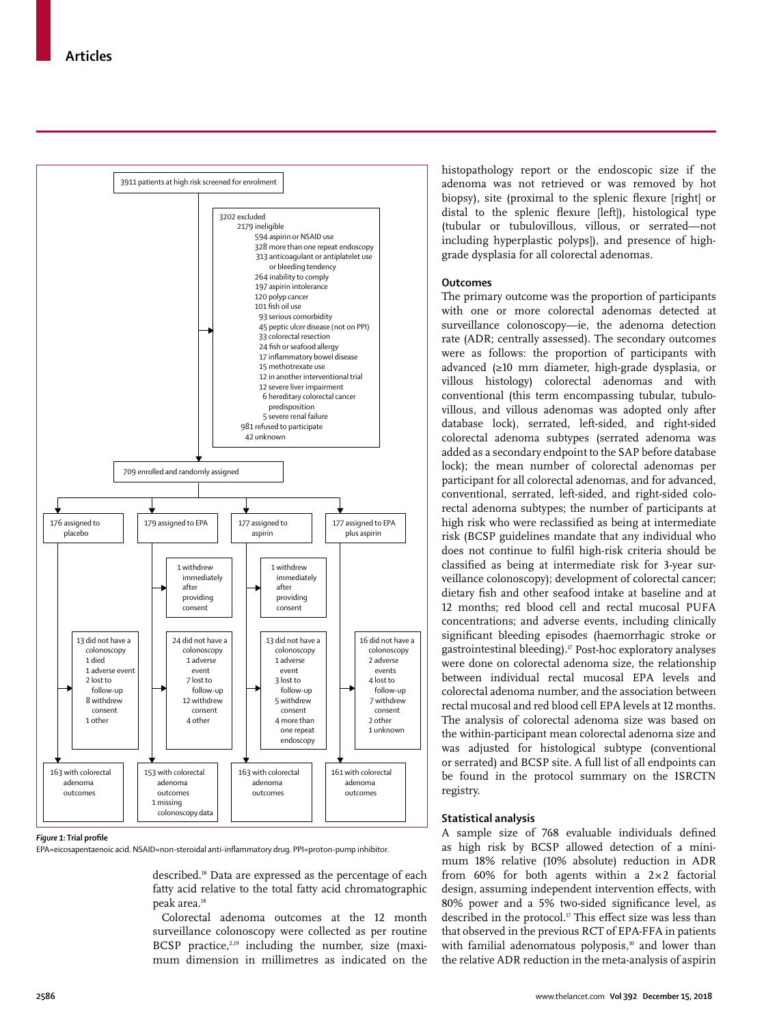

#### *Figure 1:* **Trial profile**

EPA=eicosapentaenoic acid. NSAID=non-steroidal anti-inflammatory drug. PPI=proton-pump inhibitor.

described.18 Data are expressed as the percentage of each fatty acid relative to the total fatty acid chromatographic peak area.<sup>18</sup>

Colorectal adenoma outcomes at the 12 month surveillance colonoscopy were collected as per routine BCSP practice, $2,19$  including the number, size (maximum dimension in millimetres as indicated on the histopathology report or the endoscopic size if the adenoma was not retrieved or was removed by hot biopsy), site (proximal to the splenic flexure [right] or distal to the splenic flexure [left]), histological type (tubular or tubulovillous, villous, or serrated—not including hyperplastic polyps]), and presence of highgrade dysplasia for all colorectal adenomas.

## **Outcomes**

The primary outcome was the proportion of participants with one or more colorectal adenomas detected at surveillance colonoscopy—ie, the adenoma detection rate (ADR; centrally assessed). The secondary outcomes were as follows: the proportion of participants with advanced (≥10 mm diameter, high-grade dysplasia, or villous histology) colorectal adenomas and with conventional (this term encompassing tubular, tubulovillous, and villous adenomas was adopted only after database lock), serrated, left-sided, and right-sided colorectal adenoma subtypes (serrated adenoma was added as a secondary endpoint to the SAP before database lock); the mean number of colorectal adenomas per participant for all colorectal adenomas, and for advanced, conventional, serrated, left-sided, and right-sided colorectal adenoma subtypes; the number of participants at high risk who were reclassified as being at intermediate risk (BCSP guidelines mandate that any individual who does not continue to fulfil high-risk criteria should be classified as being at intermediate risk for 3-year surveillance colonoscopy); development of colorectal cancer; dietary fish and other seafood intake at baseline and at 12 months; red blood cell and rectal mucosal PUFA concentrations; and adverse events, including clinically significant bleeding episodes (haemorrhagic stroke or gastrointestinal bleeding).17 Post-hoc exploratory analyses were done on colorectal adenoma size, the relationship between individual rectal mucosal EPA levels and colorectal adenoma number, and the association between rectal mucosal and red blood cell EPA levels at 12 months. The analysis of colorectal adenoma size was based on the within-participant mean colorectal adenoma size and was adjusted for histological subtype (conventional or serrated) and BCSP site. A full list of all endpoints can be found in the protocol summary on the ISRCTN registry.

## **Statistical analysis**

A sample size of 768 evaluable individuals defined as high risk by BCSP allowed detection of a minimum 18% relative (10% absolute) reduction in ADR from 60% for both agents within a 2×2 factorial design, assuming independent intervention effects, with 80% power and a 5% two-sided significance level, as described in the protocol.<sup>17</sup> This effect size was less than that observed in the previous RCT of EPA-FFA in patients with familial adenomatous polyposis,<sup>10</sup> and lower than the relative ADR reduction in the meta-analysis of aspirin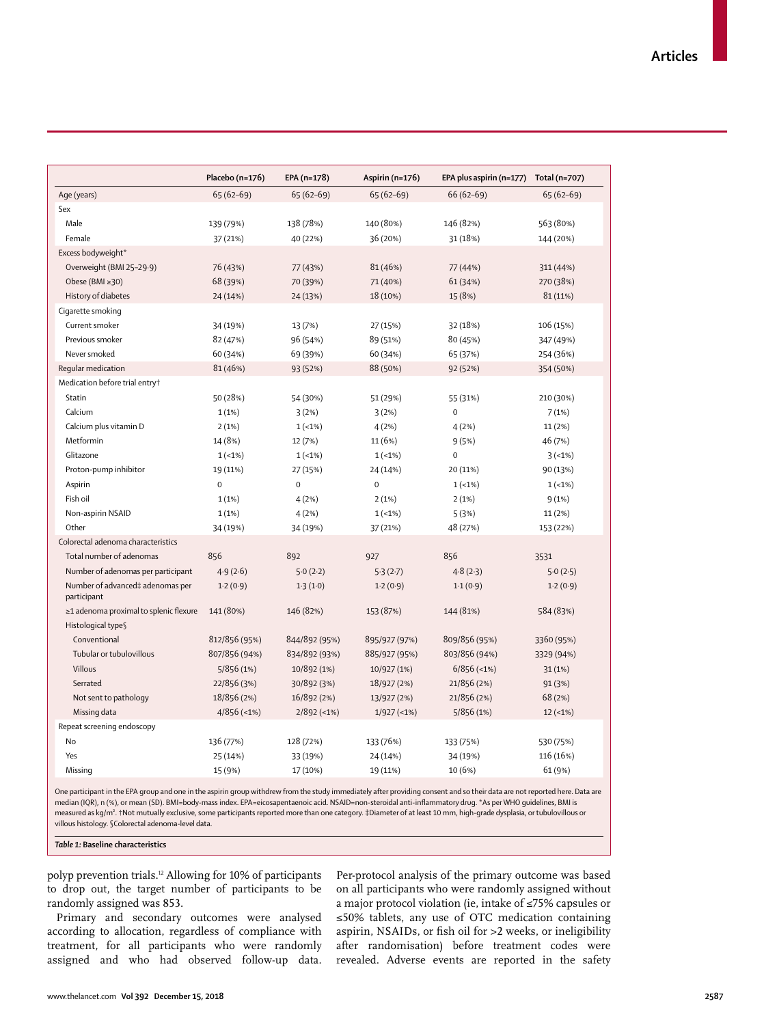|                                                 | Placebo (n=176) | EPA (n=178)   | Aspirin (n=176) | EPA plus aspirin (n=177) | Total (n=707) |
|-------------------------------------------------|-----------------|---------------|-----------------|--------------------------|---------------|
| Age (years)                                     | $65(62-69)$     | $65(62-69)$   | $65(62-69)$     | $66(62-69)$              | $65(62-69)$   |
| Sex                                             |                 |               |                 |                          |               |
| Male                                            | 139 (79%)       | 138 (78%)     | 140 (80%)       | 146 (82%)                | 563 (80%)     |
| Female                                          | 37 (21%)        | 40 (22%)      | 36 (20%)        | 31 (18%)                 | 144 (20%)     |
| Excess bodyweight*                              |                 |               |                 |                          |               |
| Overweight (BMI 25-29.9)                        | 76 (43%)        | 77 (43%)      | 81 (46%)        | 77 (44%)                 | 311 (44%)     |
| Obese (BMI ≥30)                                 | 68 (39%)        | 70 (39%)      | 71 (40%)        | 61 (34%)                 | 270 (38%)     |
| History of diabetes                             | 24 (14%)        | 24 (13%)      | 18 (10%)        | 15 (8%)                  | 81 (11%)      |
| Cigarette smoking                               |                 |               |                 |                          |               |
| Current smoker                                  | 34 (19%)        | 13 (7%)       | 27 (15%)        | 32 (18%)                 | 106 (15%)     |
| Previous smoker                                 | 82 (47%)        | 96 (54%)      | 89 (51%)        | 80 (45%)                 | 347 (49%)     |
| Never smoked                                    | 60 (34%)        | 69 (39%)      | 60 (34%)        | 65 (37%)                 | 254 (36%)     |
| Regular medication                              | 81 (46%)        | 93 (52%)      | 88 (50%)        | 92 (52%)                 | 354 (50%)     |
| Medication before trial entry†                  |                 |               |                 |                          |               |
| Statin                                          | 50 (28%)        | 54 (30%)      | 51 (29%)        | 55 (31%)                 | 210 (30%)     |
| Calcium                                         | 1(1%)           | 3(2%)         | 3(2%)           | $\mathbf 0$              | 7(1%)         |
| Calcium plus vitamin D                          | 2(1%)           | $1(-1%)$      | 4(2%)           | 4(2%)                    | 11 (2%)       |
| Metformin                                       | 14 (8%)         | 12 (7%)       | 11 (6%)         | 9(5%)                    | 46 (7%)       |
| Glitazone                                       | $1(-1%)$        | $1(-1%)$      | $1(-1%)$        | $\mathbf 0$              | $3(-1%)$      |
| Proton-pump inhibitor                           | 19 (11%)        | 27 (15%)      | 24 (14%)        | 20 (11%)                 | 90 (13%)      |
| Aspirin                                         | $\mathbf 0$     | $\Omega$      | $\mathbf 0$     | $1(-1%)$                 | $1(-1%)$      |
| Fish oil                                        | 1(1%)           | 4(2%)         | 2(1%)           | 2(1%)                    | 9(1%)         |
| Non-aspirin NSAID                               | 1(1%)           | 4(2%)         | $1(-1%)$        | 5(3%)                    | 11 (2%)       |
| Other                                           | 34 (19%)        | 34 (19%)      | 37 (21%)        | 48 (27%)                 | 153 (22%)     |
| Colorectal adenoma characteristics              |                 |               |                 |                          |               |
| Total number of adenomas                        | 856             | 892           | 927             | 856                      | 3531          |
| Number of adenomas per participant              | 4.9(2.6)        | 5.0(2.2)      | 5.3(2.7)        | 4.8(2.3)                 | 5.0(2.5)      |
| Number of advanced‡ adenomas per<br>participant | 1.2(0.9)        | 1.3(1.0)      | 1.2(0.9)        | 1.1(0.9)                 | 1.2(0.9)      |
| ≥1 adenoma proximal to splenic flexure          | 141 (80%)       | 146 (82%)     | 153 (87%)       | 144 (81%)                | 584 (83%)     |
| Histological type§                              |                 |               |                 |                          |               |
| Conventional                                    | 812/856 (95%)   | 844/892 (95%) | 895/927 (97%)   | 809/856 (95%)            | 3360 (95%)    |
| Tubular or tubulovillous                        | 807/856 (94%)   | 834/892 (93%) | 885/927 (95%)   | 803/856 (94%)            | 3329 (94%)    |
| Villous                                         | 5/856(1%)       | 10/892 (1%)   | 10/927 (1%)     | $6/856$ (<1%)            | 31(1%)        |
| Serrated                                        | 22/856 (3%)     | 30/892 (3%)   | 18/927 (2%)     | 21/856 (2%)              | 91 (3%)       |
| Not sent to pathology                           | 18/856 (2%)     | 16/892 (2%)   | 13/927 (2%)     | 21/856 (2%)              | 68 (2%)       |
| Missing data                                    | $4/856$ (<1%)   | $2/892$ (<1%) | $1/927$ (<1%)   | 5/856(1%)                | $12 (-1%)$    |
| Repeat screening endoscopy                      |                 |               |                 |                          |               |
| <b>No</b>                                       | 136 (77%)       | 128 (72%)     | 133 (76%)       | 133 (75%)                | 530 (75%)     |
| Yes                                             | 25 (14%)        | 33 (19%)      | 24 (14%)        | 34 (19%)                 | 116 (16%)     |
| Missing                                         | 15 (9%)         | 17 (10%)      | 19 (11%)        | 10 (6%)                  | 61 (9%)       |

One participant in the EPA group and one in the aspirin group withdrew from the study immediately after providing consent and so their data are not reported here. Data are median (IQR), n (%), or mean (SD). BMI=body-mass index. EPA=eicosapentaenoic acid. NSAID=non-steroidal anti-inflammatory drug. \*As per WHO guidelines, BMI is measured as kg/m². †Not mutually exclusive, some participants reported more than one category. ‡Diameter of at least 10 mm, high-grade dysplasia, or tubulovillous or villous histology. §Colorectal adenoma-level data.

*Table 1:* **Baseline characteristics**

polyp prevention trials.12 Allowing for 10% of participants to drop out, the target number of participants to be randomly assigned was 853.

Primary and secondary outcomes were analysed according to allocation, regardless of compliance with treatment, for all participants who were randomly assigned and who had observed follow-up data.

Per-protocol analysis of the primary outcome was based on all participants who were randomly assigned without a major protocol violation (ie, intake of ≤75% capsules or ≤50% tablets, any use of OTC medication containing aspirin, NSAIDs, or fish oil for >2 weeks, or ineligibility after randomisation) before treatment codes were revealed. Adverse events are reported in the safety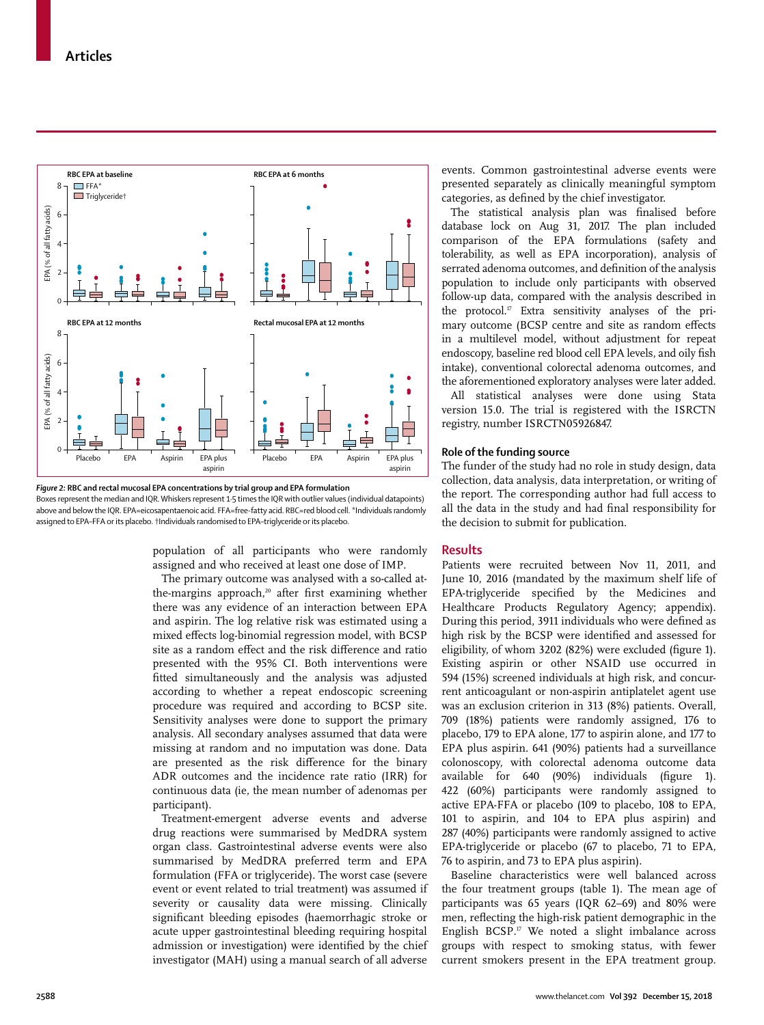

*Figure 2:* **RBC and rectal mucosal EPA concentrations by trial group and EPA formulation** Boxes represent the median and IQR. Whiskers represent 1·5 times the IQR with outlier values (individual datapoints)

above and below the IQR. EPA=eicosapentaenoic acid. FFA=free-fatty acid. RBC=red blood cell. \*Individuals randomly assigned to EPA–FFA or its placebo. †Individuals randomised to EPA–triglyceride or its placebo.

> population of all participants who were randomly assigned and who received at least one dose of IMP.

> The primary outcome was analysed with a so-called atthe-margins approach,<sup>20</sup> after first examining whether there was any evidence of an interaction between EPA and aspirin. The log relative risk was estimated using a mixed effects log-binomial regression model, with BCSP site as a random effect and the risk difference and ratio presented with the 95% CI. Both interventions were fitted simultaneously and the analysis was adjusted according to whether a repeat endoscopic screening procedure was required and according to BCSP site. Sensitivity analyses were done to support the primary analysis. All secondary analyses assumed that data were missing at random and no imputation was done. Data are presented as the risk difference for the binary ADR outcomes and the incidence rate ratio (IRR) for continuous data (ie, the mean number of adenomas per participant).

> Treatment-emergent adverse events and adverse drug reactions were summarised by MedDRA system organ class. Gastrointestinal adverse events were also summarised by MedDRA preferred term and EPA formulation (FFA or triglyceride). The worst case (severe event or event related to trial treatment) was assumed if severity or causality data were missing. Clinically significant bleeding episodes (haemorrhagic stroke or acute upper gastrointestinal bleeding requiring hospital admission or investigation) were identified by the chief investigator (MAH) using a manual search of all adverse

events. Common gastrointestinal adverse events were presented separately as clinically meaningful symptom categories, as defined by the chief investigator.

The statistical analysis plan was finalised before database lock on Aug 31, 2017. The plan included comparison of the EPA formulations (safety and tolerability, as well as EPA incorporation), analysis of serrated adenoma outcomes, and definition of the analysis population to include only participants with observed follow-up data, compared with the analysis described in the protocol.<sup>17</sup> Extra sensitivity analyses of the primary outcome (BCSP centre and site as random effects in a multilevel model, without adjustment for repeat endoscopy, baseline red blood cell EPA levels, and oily fish intake), conventional colorectal adenoma outcomes, and the aforementioned exploratory analyses were later added.

All statistical analyses were done using Stata version 15.0. The trial is registered with the ISRCTN registry, number ISRCTN05926847.

## **Role of the funding source**

The funder of the study had no role in study design, data collection, data analysis, data interpretation, or writing of the report. The corresponding author had full access to all the data in the study and had final responsibility for the decision to submit for publication.

## **Results**

Patients were recruited between Nov 11, 2011, and June 10, 2016 (mandated by the maximum shelf life of EPA-triglyceride specified by the Medicines and Healthcare Products Regulatory Agency; appendix). During this period, 3911 individuals who were defined as high risk by the BCSP were identified and assessed for eligibility, of whom 3202 (82%) were excluded (figure 1). Existing aspirin or other NSAID use occurred in 594 (15%) screened individuals at high risk, and concurrent anticoagulant or non-aspirin antiplatelet agent use was an exclusion criterion in 313 (8%) patients. Overall, 709 (18%) patients were randomly assigned, 176 to placebo, 179 to EPA alone, 177 to aspirin alone, and 177 to EPA plus aspirin. 641 (90%) patients had a surveillance colonoscopy, with colorectal adenoma outcome data available for 640 (90%) individuals (figure 1). 422 (60%) participants were randomly assigned to active EPA-FFA or placebo (109 to placebo, 108 to EPA, 101 to aspirin, and 104 to EPA plus aspirin) and 287 (40%) participants were randomly assigned to active EPA-triglyceride or placebo (67 to placebo, 71 to EPA, 76 to aspirin, and 73 to EPA plus aspirin).

Baseline characteristics were well balanced across the four treatment groups (table 1). The mean age of participants was 65 years (IQR 62–69) and 80% were men, reflecting the high-risk patient demographic in the English BCSP.17 We noted a slight imbalance across groups with respect to smoking status, with fewer current smokers present in the EPA treatment group.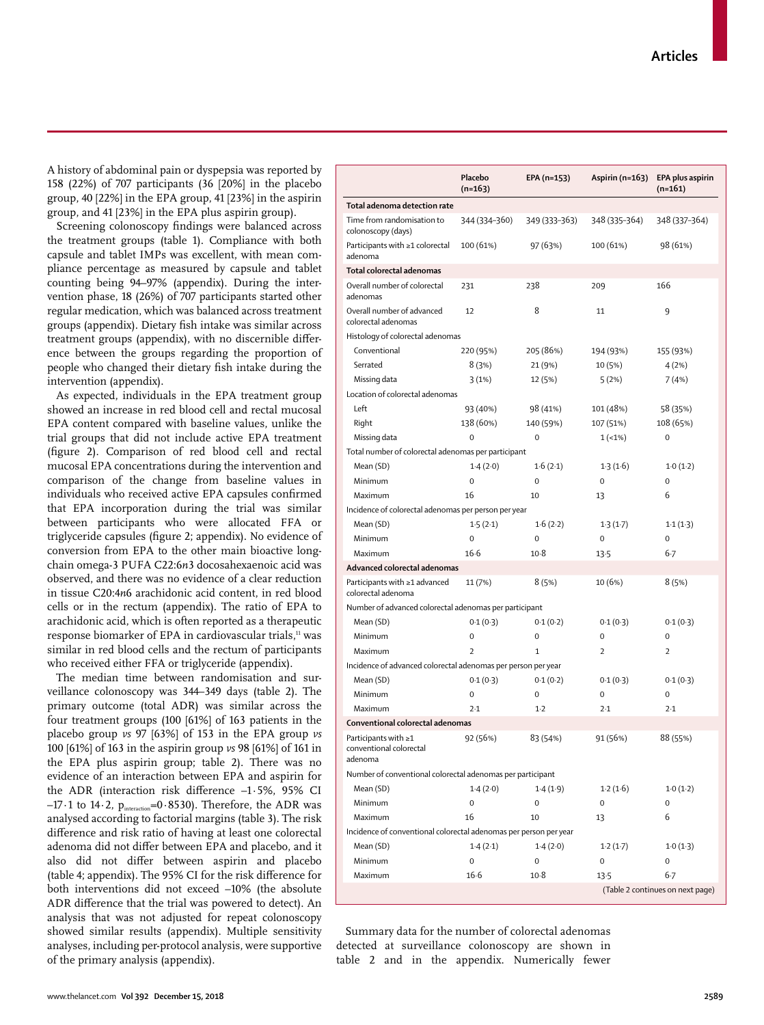www.thelancet.com**Vol 392 December 15, 2018 2589**

A history of abdominal pain or dyspepsia was reported by 158 (22%) of 707 participants (36 [20%] in the placebo group, 40 [22%] in the EPA group, 41 [23%] in the aspirin group, and 41 [23%] in the EPA plus aspirin group).

Screening colonoscopy findings were balanced across the treatment groups (table 1). Compliance with both capsule and tablet IMPs was excellent, with mean compliance percentage as measured by capsule and tablet counting being 94–97% (appendix). During the intervention phase, 18 (26%) of 707 participants started other regular medication, which was balanced across treatment groups (appendix). Dietary fish intake was similar across treatment groups (appendix), with no discernible difference between the groups regarding the proportion of people who changed their dietary fish intake during the intervention (appendix).

As expected, individuals in the EPA treatment group showed an increase in red blood cell and rectal mucosal EPA content compared with baseline values, unlike the trial groups that did not include active EPA treatment (figure 2). Comparison of red blood cell and rectal mucosal EPA concentrations during the intervention and comparison of the change from baseline values in individuals who received active EPA capsules confirmed that EPA incorporation during the trial was similar between participants who were allocated FFA or triglyceride capsules (figure 2; appendix). No evidence of conversion from EPA to the other main bioactive longchain omega-3 PUFA C22:6*n*3 docosahexaenoic acid was observed, and there was no evidence of a clear reduction in tissue C20:4*n*6 arachidonic acid content, in red blood cells or in the rectum (appendix). The ratio of EPA to arachidonic acid, which is often reported as a therapeutic response biomarker of EPA in cardiovascular trials,<sup>11</sup> was similar in red blood cells and the rectum of participants who received either FFA or triglyceride (appendix).

The median time between randomisation and surveillance colonoscopy was 344–349 days (table 2). The primary outcome (total ADR) was similar across the four treatment groups (100 [61%] of 163 patients in the placebo group *vs* 97 [63%] of 153 in the EPA group *vs*  100 [61%] of 163 in the aspirin group *vs* 98 [61%] of 161 in the EPA plus aspirin group; table 2). There was no evidence of an interaction between EPA and aspirin for the ADR (interaction risk difference –1·5%, 95% CI  $-17.1$  to  $14.2$ ,  $p_{interaction} = 0.8530$ ). Therefore, the ADR was analysed according to factorial margins (table 3). The risk difference and risk ratio of having at least one colorectal adenoma did not differ between EPA and placebo, and it also did not differ between aspirin and placebo (table 4; appendix). The 95% CI for the risk difference for both interventions did not exceed –10% (the absolute ADR difference that the trial was powered to detect). An analysis that was not adjusted for repeat colonoscopy showed similar results (appendix). Multiple sensitivity analyses, including per-protocol analysis, were supportive of the primary analysis (appendix).

|                                                                   | Placebo<br>$(n=163)$ | EPA (n=153)   | Aspirin (n=163) | EPA plus aspirin<br>$(n=161)$    |
|-------------------------------------------------------------------|----------------------|---------------|-----------------|----------------------------------|
| Total adenoma detection rate                                      |                      |               |                 |                                  |
| Time from randomisation to<br>colonoscopy (days)                  | 344 (334-360)        | 349 (333-363) | 348 (335-364)   | 348 (337-364)                    |
| Participants with ≥1 colorectal<br>adenoma                        | 100 (61%)            | 97 (63%)      | 100 (61%)       | 98 (61%)                         |
| Total colorectal adenomas                                         |                      |               |                 |                                  |
| Overall number of colorectal<br>adenomas                          | 231                  | 238           | 209             | 166                              |
| Overall number of advanced<br>colorectal adenomas                 | 12                   | 8             | 11              | 9                                |
| Histology of colorectal adenomas                                  |                      |               |                 |                                  |
| Conventional                                                      | 220 (95%)            | 205 (86%)     | 194 (93%)       | 155 (93%)                        |
| Serrated                                                          | 8(3%)                | 21 (9%)       | 10 (5%)         | 4 (2%)                           |
| Missing data                                                      | 3(1%)                | 12 (5%)       | 5(2%)           | 7 (4%)                           |
| Location of colorectal adenomas                                   |                      |               |                 |                                  |
| Left                                                              | 93 (40%)             | 98 (41%)      | 101 (48%)       | 58 (35%)                         |
| Right                                                             | 138 (60%)            | 140 (59%)     | 107 (51%)       | 108 (65%)                        |
| Missing data                                                      | 0                    | 0             | $1(-1%)$        | 0                                |
| Total number of colorectal adenomas per participant               |                      |               |                 |                                  |
| Mean (SD)                                                         | 1.4(2.0)             | 1.6(2.1)      | 1.3(1.6)        | 1.0(1.2)                         |
| Minimum                                                           | 0                    | $\mathbf 0$   | 0               | 0                                |
| Maximum                                                           | 16                   | 10            | 13              | 6                                |
|                                                                   |                      |               |                 |                                  |
| Incidence of colorectal adenomas per person per year              |                      |               |                 |                                  |
| Mean (SD)                                                         | 1.5(2.1)             | 1.6(2.2)      | 1.3(1.7)        | 1.1(1.3)                         |
| Minimum                                                           | 0                    | $\mathbf 0$   | 0               | 0                                |
| Maximum                                                           | $16-6$               | $10-8$        | 13.5            | 6.7                              |
| Advanced colorectal adenomas                                      |                      |               |                 |                                  |
| Participants with $\geq 1$ advanced<br>colorectal adenoma         | 11 (7%)              | 8 (5%)        | 10 (6%)         | 8(5%)                            |
| Number of advanced colorectal adenomas per participant            |                      |               |                 |                                  |
| Mean (SD)                                                         | 0.1(0.3)             | 0.1(0.2)      | 0.1(0.3)        | 0.1(0.3)                         |
| Minimum                                                           | 0                    | 0             | 0               | 0                                |
| Maximum                                                           | $\overline{2}$       | 1             | $\overline{2}$  | $\overline{2}$                   |
| Incidence of advanced colorectal adenomas per person per year     |                      |               |                 |                                  |
| Mean (SD)                                                         | 0.1(0.3)             | 0.1(0.2)      | 0.1(0.3)        | 0.1(0.3)                         |
| Minimum                                                           | 0                    | 0             | 0               | 0                                |
| Maximum                                                           | 2.1                  | $1-2$         | $2-1$           | $2-1$                            |
| Conventional colorectal adenomas                                  |                      |               |                 |                                  |
| Participants with $\geq 1$<br>conventional colorectal<br>adenoma  | 92 (56%)             | 83 (54%)      | 91 (56%)        | 88 (55%)                         |
| Number of conventional colorectal adenomas per participant        |                      |               |                 |                                  |
| Mean (SD)                                                         | 1.4(2.0)             | 1.4(1.9)      | 1.2(1.6)        | 1.0(1.2)                         |
| Minimum                                                           | 0                    | 0             | 0               | 0                                |
| Maximum                                                           | 16                   | 10            | 13              | 6                                |
| Incidence of conventional colorectal adenomas per person per year |                      |               |                 |                                  |
| Mean (SD)                                                         | 1.4(2.1)             | 1.4(2.0)      | 1.2(1.7)        | 1.0(1.3)                         |
| Minimum                                                           | 0                    | 0             | 0               | 0                                |
| Maximum                                                           | $16-6$               | $10-8$        | 13.5            | $6 - 7$                          |
|                                                                   |                      |               |                 | (Table 2 continues on next page) |

Summary data for the number of colorectal adenomas detected at surveillance colonoscopy are shown in table 2 and in the appendix. Numerically fewer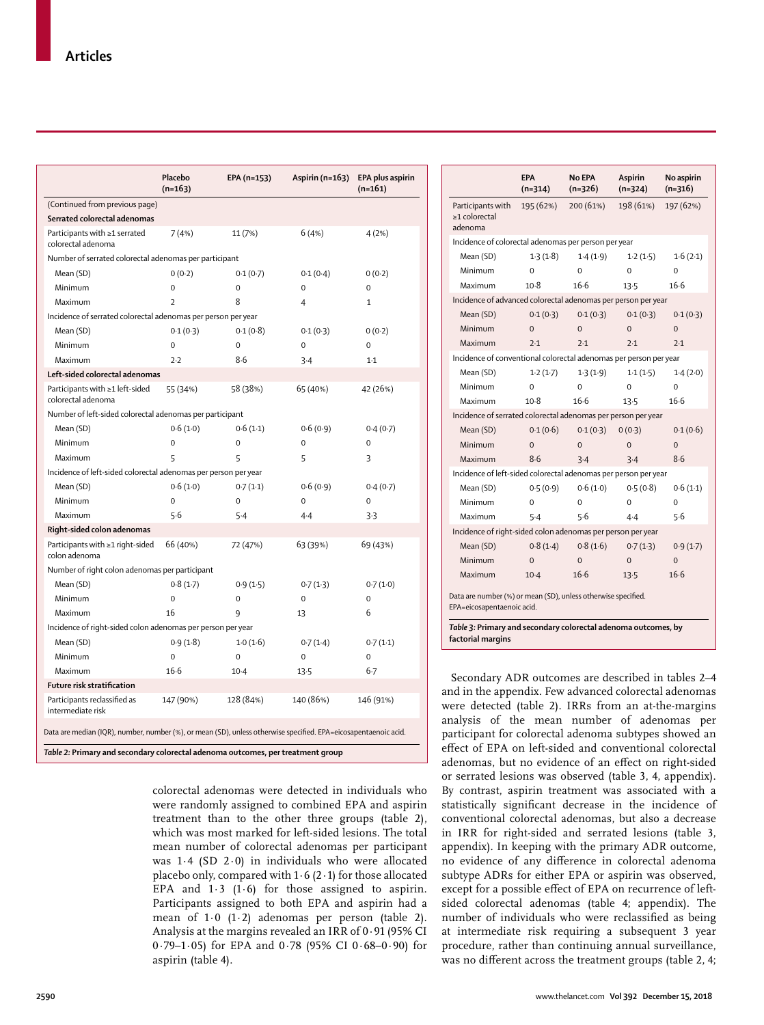|                                                                                 | Placebo<br>$(n=163)$                                                                                                                                                                                                                                                                                                                                                                                                                                                                                                                           | EPA (n=153) | Aspirin (n=163) | EPA plus aspirin<br>$(n=161)$ |  |
|---------------------------------------------------------------------------------|------------------------------------------------------------------------------------------------------------------------------------------------------------------------------------------------------------------------------------------------------------------------------------------------------------------------------------------------------------------------------------------------------------------------------------------------------------------------------------------------------------------------------------------------|-------------|-----------------|-------------------------------|--|
| (Continued from previous page)                                                  |                                                                                                                                                                                                                                                                                                                                                                                                                                                                                                                                                |             |                 |                               |  |
| Serrated colorectal adenomas                                                    |                                                                                                                                                                                                                                                                                                                                                                                                                                                                                                                                                |             |                 |                               |  |
| Participants with ≥1 serrated<br>colorectal adenoma                             | 7(4%)                                                                                                                                                                                                                                                                                                                                                                                                                                                                                                                                          | 11 (7%)     | 6(4%)           | 4(2%)                         |  |
|                                                                                 |                                                                                                                                                                                                                                                                                                                                                                                                                                                                                                                                                |             |                 |                               |  |
| Mean (SD)                                                                       | 0(0.2)                                                                                                                                                                                                                                                                                                                                                                                                                                                                                                                                         | 0.1(0.7)    | 0.1(0.4)        | 0(0.2)                        |  |
| Minimum                                                                         | 0                                                                                                                                                                                                                                                                                                                                                                                                                                                                                                                                              | $\mathbf 0$ | $\Omega$        | $\Omega$                      |  |
| Maximum                                                                         | $\overline{2}$                                                                                                                                                                                                                                                                                                                                                                                                                                                                                                                                 | 8           | 4               | 1                             |  |
|                                                                                 |                                                                                                                                                                                                                                                                                                                                                                                                                                                                                                                                                |             |                 |                               |  |
| Mean (SD)                                                                       | 0.1(0.3)                                                                                                                                                                                                                                                                                                                                                                                                                                                                                                                                       | 0.1(0.8)    | 0.1(0.3)        | 0(0.2)                        |  |
| Minimum                                                                         | $\Omega$                                                                                                                                                                                                                                                                                                                                                                                                                                                                                                                                       | $\Omega$    | $\Omega$        | $\Omega$                      |  |
| Maximum                                                                         | 7.7                                                                                                                                                                                                                                                                                                                                                                                                                                                                                                                                            | 8.6         | 3.4             | $1-1$                         |  |
| Left-sided colorectal adenomas                                                  |                                                                                                                                                                                                                                                                                                                                                                                                                                                                                                                                                |             |                 |                               |  |
| Participants with ≥1 left-sided<br>colorectal adenoma                           | 55 (34%)                                                                                                                                                                                                                                                                                                                                                                                                                                                                                                                                       | 58 (38%)    | 65 (40%)        | 42 (26%)                      |  |
|                                                                                 |                                                                                                                                                                                                                                                                                                                                                                                                                                                                                                                                                |             |                 |                               |  |
| Mean (SD)                                                                       | 0.6(1.0)                                                                                                                                                                                                                                                                                                                                                                                                                                                                                                                                       | 0.6(1.1)    | 0.6(0.9)        | 0.4(0.7)                      |  |
| Minimum                                                                         | $\mathbf 0$                                                                                                                                                                                                                                                                                                                                                                                                                                                                                                                                    | $\mathbf 0$ | 0               | 0                             |  |
| Maximum                                                                         | 5                                                                                                                                                                                                                                                                                                                                                                                                                                                                                                                                              | 5           | 5               | 3                             |  |
|                                                                                 |                                                                                                                                                                                                                                                                                                                                                                                                                                                                                                                                                |             |                 |                               |  |
| Mean (SD)                                                                       | 0.6(1.0)                                                                                                                                                                                                                                                                                                                                                                                                                                                                                                                                       | 0.7(1.1)    | 0.6(0.9)        | 0.4(0.7)                      |  |
| Minimum                                                                         | 0                                                                                                                                                                                                                                                                                                                                                                                                                                                                                                                                              | $\mathbf 0$ | 0               | 0                             |  |
| Maximum                                                                         | 5.6                                                                                                                                                                                                                                                                                                                                                                                                                                                                                                                                            | $5-4$       | $4-4$           | 3.3                           |  |
| Right-sided colon adenomas                                                      |                                                                                                                                                                                                                                                                                                                                                                                                                                                                                                                                                |             |                 |                               |  |
| Participants with ≥1 right-sided<br>colon adenoma                               | 66 (40%)                                                                                                                                                                                                                                                                                                                                                                                                                                                                                                                                       | 72 (47%)    | 63 (39%)        | 69 (43%)                      |  |
|                                                                                 |                                                                                                                                                                                                                                                                                                                                                                                                                                                                                                                                                |             |                 |                               |  |
| Mean (SD)                                                                       | 0.8(1.7)                                                                                                                                                                                                                                                                                                                                                                                                                                                                                                                                       | 0.9(1.5)    | 0.7(1.3)        | 0.7(1.0)                      |  |
| Minimum                                                                         | $\Omega$                                                                                                                                                                                                                                                                                                                                                                                                                                                                                                                                       | $\Omega$    | $\Omega$        | 0                             |  |
| Maximum                                                                         | 16                                                                                                                                                                                                                                                                                                                                                                                                                                                                                                                                             | 9           | 13              | 6                             |  |
|                                                                                 |                                                                                                                                                                                                                                                                                                                                                                                                                                                                                                                                                |             |                 |                               |  |
| Mean (SD)                                                                       | 0.9(1.8)                                                                                                                                                                                                                                                                                                                                                                                                                                                                                                                                       | 1.0(1.6)    | 0.7(1.4)        | 0.7(1.1)                      |  |
| Minimum                                                                         | $\mathbf 0$                                                                                                                                                                                                                                                                                                                                                                                                                                                                                                                                    | $\mathbf 0$ | 0               | 0                             |  |
| Maximum                                                                         | 16.6                                                                                                                                                                                                                                                                                                                                                                                                                                                                                                                                           | $10-4$      | 13.5            | 6.7                           |  |
| Future risk stratification                                                      | Number of serrated colorectal adenomas per participant<br>Incidence of serrated colorectal adenomas per person per year<br>Number of left-sided colorectal adenomas per participant<br>Incidence of left-sided colorectal adenomas per person per year<br>Number of right colon adenomas per participant<br>Incidence of right-sided colon adenomas per person per year<br>128 (84%)<br>140 (86%)<br>146 (91%)<br>147 (90%)<br>Data are median (IQR), number, number (%), or mean (SD), unless otherwise specified. EPA=eicosapentaenoic acid. |             |                 |                               |  |
| Participants reclassified as<br>intermediate risk                               |                                                                                                                                                                                                                                                                                                                                                                                                                                                                                                                                                |             |                 |                               |  |
|                                                                                 |                                                                                                                                                                                                                                                                                                                                                                                                                                                                                                                                                |             |                 |                               |  |
| Table 2: Primary and secondary colorectal adenoma outcomes, per treatment group |                                                                                                                                                                                                                                                                                                                                                                                                                                                                                                                                                |             |                 |                               |  |

colorectal adenomas were detected in individuals who were randomly assigned to combined EPA and aspirin treatment than to the other three groups (table 2), which was most marked for left-sided lesions. The total mean number of colorectal adenomas per participant was 1·4 (SD 2·0) in individuals who were allocated placebo only, compared with  $1.6$  (2 $.1$ ) for those allocated EPA and  $1·3$   $(1·6)$  for those assigned to aspirin. Participants assigned to both EPA and aspirin had a mean of 1·0 (1·2) adenomas per person (table 2). Analysis at the margins revealed an IRR of 0·91 (95% CI 0·79–1·05) for EPA and 0·78 (95% CI 0·68–0·90) for aspirin (table 4).

|                                                                                             | <b>EPA</b><br>$(n=314)$ | <b>No EPA</b><br>$(n=326)$ | Aspirin<br>$(n=324)$                                           | No aspirin<br>$(n=316)$ |  |  |
|---------------------------------------------------------------------------------------------|-------------------------|----------------------------|----------------------------------------------------------------|-------------------------|--|--|
| Participants with<br>≥1 colorectal<br>adenoma                                               | 195 (62%)               | 200 (61%)                  | 198 (61%)                                                      | 197 (62%)               |  |  |
| Incidence of colorectal adenomas per person per year                                        |                         |                            |                                                                |                         |  |  |
| Mean (SD)                                                                                   | 1.3(1.8)                | 1.4(1.9)                   | 1.2(1.5)                                                       | 1.6(2.1)                |  |  |
| Minimum                                                                                     | $\Omega$                | $\Omega$                   | $\Omega$                                                       | $\Omega$                |  |  |
| Maximum                                                                                     | $10-8$                  | 16.6                       | $13-5$                                                         | $16-6$                  |  |  |
| Incidence of advanced colorectal adenomas per person per year                               |                         |                            |                                                                |                         |  |  |
| Mean (SD)                                                                                   | 0.1(0.3)                | 0.1(0.3)                   | 0.1(0.3)                                                       | 0.1(0.3)                |  |  |
| Minimum                                                                                     | $\Omega$                | $\Omega$                   | $\Omega$                                                       | $\Omega$                |  |  |
| Maximum                                                                                     | 2.1                     | 2.1                        | 2.1                                                            | 2.1                     |  |  |
| Incidence of conventional colorectal adenomas per person per year                           |                         |                            |                                                                |                         |  |  |
| Mean (SD)                                                                                   | 1.2(1.7)                | 1.3(1.9)                   | 1.1(1.5)                                                       | 1.4(2.0)                |  |  |
| Minimum                                                                                     | $\Omega$                | $\Omega$                   | $\Omega$                                                       | $\Omega$                |  |  |
| Maximum                                                                                     | $10-8$                  | $16-6$                     | 13.5                                                           | $16-6$                  |  |  |
| Incidence of serrated colorectal adenomas per person per year                               |                         |                            |                                                                |                         |  |  |
| Mean (SD)                                                                                   | 0.1(0.6)                | 0.1(0.3)                   | 0(0.3)                                                         | 0.1(0.6)                |  |  |
| Minimum                                                                                     | $\Omega$                | $\Omega$                   | $\Omega$                                                       | $\Omega$                |  |  |
| Maximum                                                                                     | 8.6                     | 3.4                        | 3.4                                                            | 8.6                     |  |  |
| Incidence of left-sided colorectal adenomas per person per year                             |                         |                            |                                                                |                         |  |  |
| Mean (SD)                                                                                   | 0.5(0.9)                | 0.6(1.0)                   | 0.5(0.8)                                                       | 0.6(1.1)                |  |  |
| Minimum                                                                                     | $\Omega$                | $\Omega$                   | $\Omega$                                                       | $\Omega$                |  |  |
| Maximum                                                                                     | 5.4                     | 5.6                        | $4-4$                                                          | 5.6                     |  |  |
| Incidence of right-sided colon adenomas per person per year                                 |                         |                            |                                                                |                         |  |  |
| Mean (SD)                                                                                   | 0.8(1.4)                | 0.8(1.6)                   | 0.7(1.3)                                                       | 0.9(1.7)                |  |  |
| Minimum                                                                                     | $\Omega$                | $\Omega$                   | $\Omega$                                                       | $\Omega$                |  |  |
| Maximum                                                                                     | $10-4$                  | 16.6                       | 13.5                                                           | 16.6                    |  |  |
| Data are number (%) or mean (SD), unless otherwise specified.<br>EPA=eicosapentaenoic acid. |                         |                            | Table 3: Primary and secondary colorectal adenoma outcomes, by |                         |  |  |

**factorial margins**

Secondary ADR outcomes are described in tables 2–4 and in the appendix. Few advanced colorectal adenomas were detected (table 2). IRRs from an at-the-margins analysis of the mean number of adenomas per participant for colorectal adenoma subtypes showed an effect of EPA on left-sided and conventional colorectal adenomas, but no evidence of an effect on right-sided or serrated lesions was observed (table 3, 4, appendix). By contrast, aspirin treatment was associated with a statistically significant decrease in the incidence of conventional colorectal adenomas, but also a decrease in IRR for right-sided and serrated lesions (table 3, appendix). In keeping with the primary ADR outcome, no evidence of any difference in colorectal adenoma subtype ADRs for either EPA or aspirin was observed, except for a possible effect of EPA on recurrence of leftsided colorectal adenomas (table 4; appendix). The number of individuals who were reclassified as being at intermediate risk requiring a subsequent 3 year procedure, rather than continuing annual surveillance, was no different across the treatment groups (table 2, 4;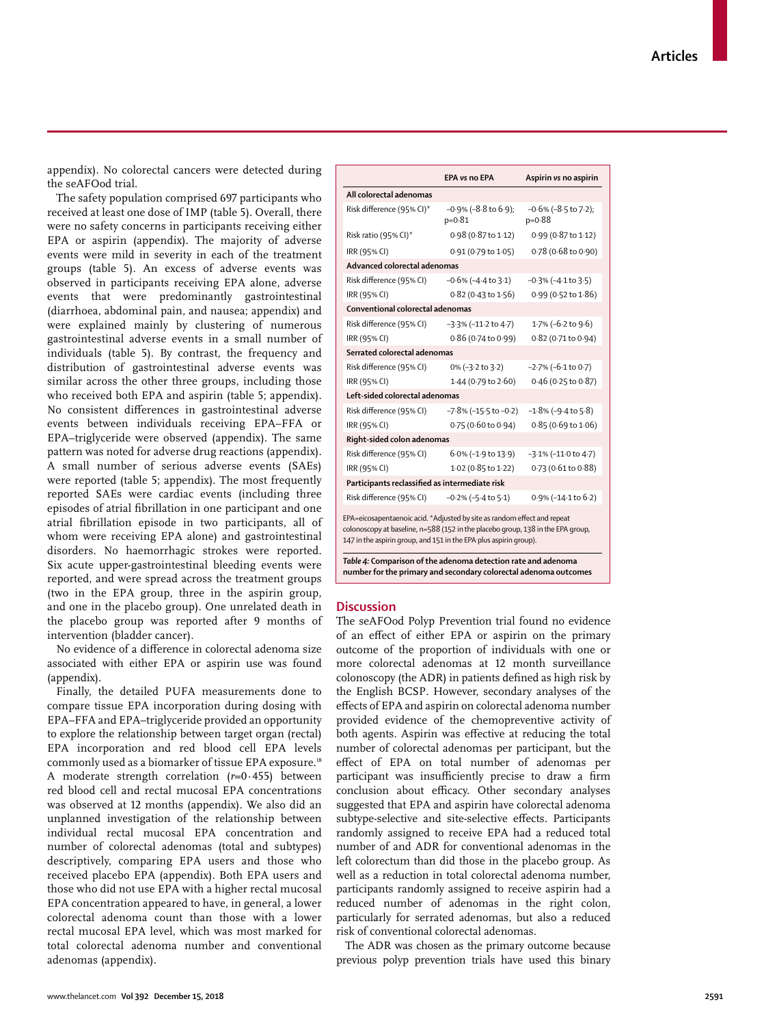appendix). No colorectal cancers were detected during the seAFOod trial.

The safety population comprised 697 participants who received at least one dose of IMP (table 5). Overall, there were no safety concerns in participants receiving either EPA or aspirin (appendix). The majority of adverse events were mild in severity in each of the treatment groups (table 5). An excess of adverse events was observed in participants receiving EPA alone, adverse events that were predominantly gastrointestinal (diarrhoea, abdominal pain, and nausea; appendix) and were explained mainly by clustering of numerous gastrointestinal adverse events in a small number of individuals (table 5). By contrast, the frequency and distribution of gastrointestinal adverse events was similar across the other three groups, including those who received both EPA and aspirin (table 5; appendix). No consistent differences in gastrointestinal adverse events between individuals receiving EPA–FFA or EPA–triglyceride were observed (appendix). The same pattern was noted for adverse drug reactions (appendix). A small number of serious adverse events (SAEs) were reported (table 5; appendix). The most frequently reported SAEs were cardiac events (including three episodes of atrial fibrillation in one participant and one atrial fibrillation episode in two participants, all of whom were receiving EPA alone) and gastrointestinal disorders. No haemorrhagic strokes were reported. Six acute upper-gastrointestinal bleeding events were reported, and were spread across the treatment groups (two in the EPA group, three in the aspirin group, and one in the placebo group). One unrelated death in the placebo group was reported after 9 months of intervention (bladder cancer).

No evidence of a difference in colorectal adenoma size associated with either EPA or aspirin use was found (appendix).

Finally, the detailed PUFA measurements done to compare tissue EPA incorporation during dosing with EPA–FFA and EPA–triglyceride provided an opportunity to explore the relationship between target organ (rectal) EPA incorporation and red blood cell EPA levels commonly used as a biomarker of tissue EPA exposure.18 A moderate strength correlation (*r*=0·455) between red blood cell and rectal mucosal EPA concentrations was observed at 12 months (appendix). We also did an unplanned investigation of the relationship between individual rectal mucosal EPA concentration and number of colorectal adenomas (total and subtypes) descriptively, comparing EPA users and those who received placebo EPA (appendix). Both EPA users and those who did not use EPA with a higher rectal mucosal EPA concentration appeared to have, in general, a lower colorectal adenoma count than those with a lower rectal mucosal EPA level, which was most marked for total colorectal adenoma number and conventional adenomas (appendix).

|                                                                                                                                                                                                                                  | <b>EPA vs no EPA</b>                     | Aspirin vs no aspirin                  |  |  |  |  |
|----------------------------------------------------------------------------------------------------------------------------------------------------------------------------------------------------------------------------------|------------------------------------------|----------------------------------------|--|--|--|--|
| All colorectal adenomas                                                                                                                                                                                                          |                                          |                                        |  |  |  |  |
| Risk difference (95% CI)*                                                                                                                                                                                                        | $-0.9\%$ ( $-8.8$ to 6.9);<br>$p = 0.81$ | $-0.6\%$ ( $-8.5$ to 7.2);<br>$p=0.88$ |  |  |  |  |
| Risk ratio (95% CI)*                                                                                                                                                                                                             | 0.98 (0.87 to 1.12)                      | 0.99 (0.87 to 1.12)                    |  |  |  |  |
| IRR (95% CI)                                                                                                                                                                                                                     | 0.91 (0.79 to 1.05)                      | 0.78 (0.68 to 0.90)                    |  |  |  |  |
| Advanced colorectal adenomas                                                                                                                                                                                                     |                                          |                                        |  |  |  |  |
| Risk difference (95% CI)                                                                                                                                                                                                         | $-0.6\%$ ( $-4.4$ to 3.1)                | $-0.3\%$ ( $-4.1$ to $3.5$ )           |  |  |  |  |
| IRR (95% CI)                                                                                                                                                                                                                     | 0.82 (0.43 to 1.56)                      | 0.99 (0.52 to 1.86)                    |  |  |  |  |
| Conventional colorectal adenomas                                                                                                                                                                                                 |                                          |                                        |  |  |  |  |
| Risk difference (95% CI)                                                                                                                                                                                                         | $-3.3\%$ ( $-11.2$ to $4.7$ )            | 1.7% (-6.2 to 9.6)                     |  |  |  |  |
| IRR (95% CI)                                                                                                                                                                                                                     | 0.86 (0.74 to 0.99)                      | 0.82 (0.71 to 0.94)                    |  |  |  |  |
| Serrated colorectal adenomas                                                                                                                                                                                                     |                                          |                                        |  |  |  |  |
| Risk difference (95% CI)                                                                                                                                                                                                         | 0% (-3.2 to 3.2)                         | $-2.7\%$ ( $-6.1$ to 0.7)              |  |  |  |  |
| IRR (95% CI)                                                                                                                                                                                                                     | 1.44 (0.79 to 2.60)                      | 0.46 (0.25 to 0.87)                    |  |  |  |  |
| Left-sided colorectal adenomas                                                                                                                                                                                                   |                                          |                                        |  |  |  |  |
| Risk difference (95% CI)                                                                                                                                                                                                         | $-7.8\%$ (-15.5 to -0.2)                 | $-1.8\%$ ( $-9.4$ to $5.8$ )           |  |  |  |  |
| IRR (95% CI)                                                                                                                                                                                                                     | 0.75 (0.60 to 0.94)                      | $0.85(0.69 \text{ to } 1.06)$          |  |  |  |  |
| Right-sided colon adenomas                                                                                                                                                                                                       |                                          |                                        |  |  |  |  |
| Risk difference (95% CI)                                                                                                                                                                                                         | $6.0\%$ (-1.9 to 13.9)                   | $-3.1\%$ ( $-11.0$ to $4.7$ )          |  |  |  |  |
| IRR (95% CI)                                                                                                                                                                                                                     | 1.02 (0.85 to 1.22)                      | 0.73 (0.61 to 0.88)                    |  |  |  |  |
| Participants reclassified as intermediate risk                                                                                                                                                                                   |                                          |                                        |  |  |  |  |
| Risk difference (95% CI)                                                                                                                                                                                                         | $-0.2\%$ ( $-5.4$ to $5.1$ )             | 0.9% (-14.1 to 6.2)                    |  |  |  |  |
| EPA=eicosapentaenoic acid. *Adjusted by site as random effect and repeat<br>colonoscopy at baseline, n=588 (152 in the placebo group, 138 in the EPA group,<br>147 in the aspirin group, and 151 in the EPA plus aspirin group). |                                          |                                        |  |  |  |  |
| Table 4: Comparison of the adenoma detection rate and adenoma<br>number for the primary and secondary colorectal adenoma outcomes                                                                                                |                                          |                                        |  |  |  |  |

**Discussion**

The seAFOod Polyp Prevention trial found no evidence of an effect of either EPA or aspirin on the primary outcome of the proportion of individuals with one or more colorectal adenomas at 12 month surveillance colonoscopy (the ADR) in patients defined as high risk by the English BCSP. However, secondary analyses of the effects of EPA and aspirin on colorectal adenoma number provided evidence of the chemopreventive activity of both agents. Aspirin was effective at reducing the total number of colorectal adenomas per participant, but the effect of EPA on total number of adenomas per participant was insufficiently precise to draw a firm conclusion about efficacy. Other secondary analyses suggested that EPA and aspirin have colorectal adenoma subtype-selective and site-selective effects. Participants randomly assigned to receive EPA had a reduced total number of and ADR for conventional adenomas in the left colorectum than did those in the placebo group. As well as a reduction in total colorectal adenoma number, participants randomly assigned to receive aspirin had a reduced number of adenomas in the right colon, particularly for serrated adenomas, but also a reduced risk of conventional colorectal adenomas.

The ADR was chosen as the primary outcome because previous polyp prevention trials have used this binary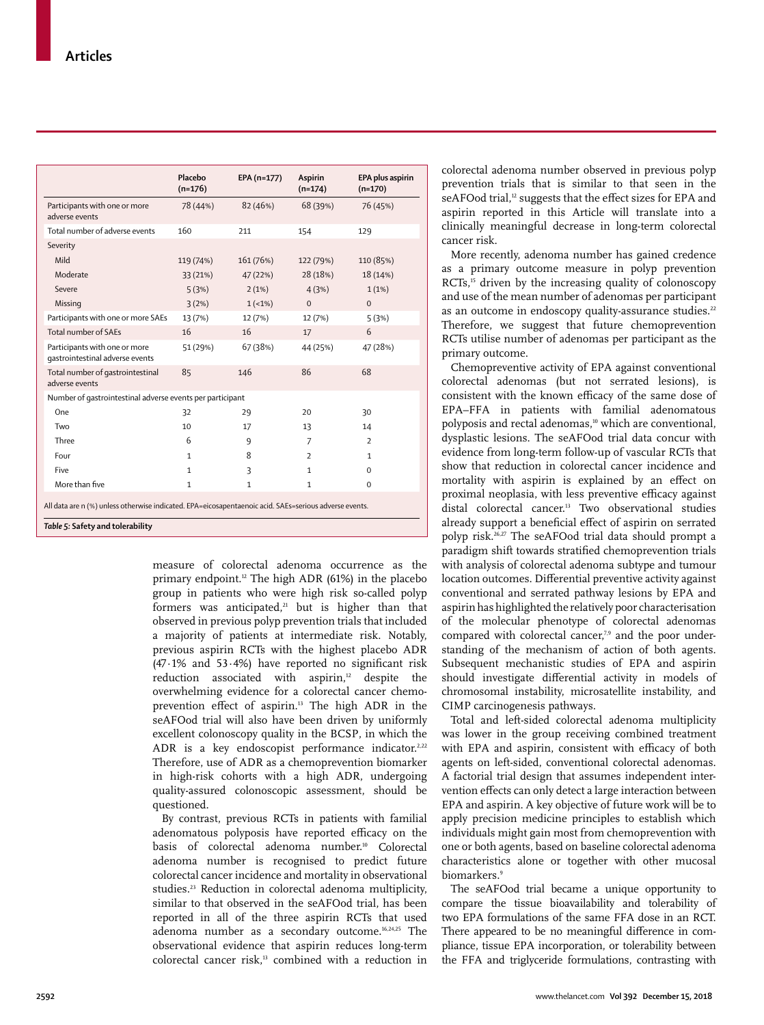|                                                                                                                                            | Placebo<br>$(n=176)$ | EPA (n=177)  | Aspirin<br>$(n=174)$ | EPA plus aspirin<br>$(n=170)$ |
|--------------------------------------------------------------------------------------------------------------------------------------------|----------------------|--------------|----------------------|-------------------------------|
| Participants with one or more<br>adverse events                                                                                            | 78 (44%)             | 82 (46%)     | 68 (39%)             | 76 (45%)                      |
| Total number of adverse events                                                                                                             | 160                  | 211          | 154                  | 129                           |
| Severity                                                                                                                                   |                      |              |                      |                               |
| Mild                                                                                                                                       | 119 (74%)            | 161 (76%)    | 122 (79%)            | 110 (85%)                     |
| Moderate                                                                                                                                   | 33 (21%)             | 47 (22%)     | 28 (18%)             | 18 (14%)                      |
| Severe                                                                                                                                     | 5(3%)                | 2(1%)        | 4(3%)                | 1(1%)                         |
| Missing                                                                                                                                    | 3(2%)                | $1(-1%)$     | $\Omega$             | $\Omega$                      |
| Participants with one or more SAEs                                                                                                         | 13 (7%)              | 12 (7%)      | 12 (7%)              | 5(3%)                         |
| Total number of SAEs                                                                                                                       | 16                   | 16           | 17                   | 6                             |
| Participants with one or more<br>gastrointestinal adverse events                                                                           | 51 (29%)             | 67 (38%)     | 44 (25%)             | 47 (28%)                      |
| Total number of gastrointestinal<br>adverse events                                                                                         | 85                   | 146          | 86                   | 68                            |
| Number of gastrointestinal adverse events per participant                                                                                  |                      |              |                      |                               |
| One                                                                                                                                        | 32                   | 29           | 20                   | 30                            |
| Two                                                                                                                                        | 10                   | 17           | 13                   | 14                            |
| Three                                                                                                                                      | 6                    | 9            | 7                    | $\overline{2}$                |
| Four                                                                                                                                       | $\mathbf{1}$         | 8            | $\mathcal{P}$        | 1                             |
| Five                                                                                                                                       | $\mathbf{1}$         | 3            | $\mathbf{1}$         | 0                             |
| More than five                                                                                                                             | $\mathbf{1}$         | $\mathbf{1}$ | $\mathbf{1}$         | $\Omega$                      |
| All data are n (%) unless otherwise indicated. EPA=eicosapentaenoic acid. SAEs=serious adverse events.<br>Table 5: Safety and tolerability |                      |              |                      |                               |

measure of colorectal adenoma occurrence as the primary endpoint.12 The high ADR (61%) in the placebo group in patients who were high risk so-called polyp formers was anticipated, $21$  but is higher than that observed in previous polyp prevention trials that included a majority of patients at intermediate risk. Notably, previous aspirin RCTs with the highest placebo ADR (47·1% and 53·4%) have reported no significant risk reduction associated with aspirin,<sup>12</sup> despite the overwhelming evidence for a colorectal cancer chemoprevention effect of aspirin.13 The high ADR in the seAFOod trial will also have been driven by uniformly excellent colonoscopy quality in the BCSP, in which the ADR is a key endoscopist performance indicator.<sup>2,22</sup> Therefore, use of ADR as a chemoprevention biomarker in high-risk cohorts with a high ADR, undergoing quality-assured colonoscopic assessment, should be questioned.

By contrast, previous RCTs in patients with familial adenomatous polyposis have reported efficacy on the basis of colorectal adenoma number.<sup>10</sup> Colorectal adenoma number is recognised to predict future colorectal cancer incidence and mortality in observational studies.<sup>23</sup> Reduction in colorectal adenoma multiplicity, similar to that observed in the seAFOod trial, has been reported in all of the three aspirin RCTs that used adenoma number as a secondary outcome.<sup>16,24,25</sup> The observational evidence that aspirin reduces long-term colorectal cancer risk,13 combined with a reduction in colorectal adenoma number observed in previous polyp prevention trials that is similar to that seen in the seAFOod trial,<sup>12</sup> suggests that the effect sizes for EPA and aspirin reported in this Article will translate into a clinically meaningful decrease in long-term colorectal cancer risk.

More recently, adenoma number has gained credence as a primary outcome measure in polyp prevention RCTs,<sup>15</sup> driven by the increasing quality of colonoscopy and use of the mean number of adenomas per participant as an outcome in endoscopy quality-assurance studies.<sup>22</sup> Therefore, we suggest that future chemoprevention RCTs utilise number of adenomas per participant as the primary outcome.

Chemopreventive activity of EPA against conventional colorectal adenomas (but not serrated lesions), is consistent with the known efficacy of the same dose of EPA–FFA in patients with familial adenomatous polyposis and rectal adenomas,<sup>10</sup> which are conventional, dysplastic lesions. The seAFOod trial data concur with evidence from long-term follow-up of vascular RCTs that show that reduction in colorectal cancer incidence and mortality with aspirin is explained by an effect on proximal neoplasia, with less preventive efficacy against distal colorectal cancer.13 Two observational studies already support a beneficial effect of aspirin on serrated polyp risk.26,27 The seAFOod trial data should prompt a paradigm shift towards stratified chemoprevention trials with analysis of colorectal adenoma subtype and tumour location outcomes. Differential preventive activity against conventional and serrated pathway lesions by EPA and aspirin has highlighted the relatively poor characterisation of the molecular phenotype of colorectal adenomas compared with colorectal cancer,<sup>7,9</sup> and the poor understanding of the mechanism of action of both agents. Subsequent mechanistic studies of EPA and aspirin should investigate differential activity in models of chromosomal instability, microsatellite instability, and CIMP carcinogenesis pathways.

Total and left-sided colorectal adenoma multiplicity was lower in the group receiving combined treatment with EPA and aspirin, consistent with efficacy of both agents on left-sided, conventional colorectal adenomas. A factorial trial design that assumes independent intervention effects can only detect a large interaction between EPA and aspirin. A key objective of future work will be to apply precision medicine principles to establish which individuals might gain most from chemoprevention with one or both agents, based on baseline colorectal adenoma characteristics alone or together with other mucosal biomarkers.<sup>9</sup>

The seAFOod trial became a unique opportunity to compare the tissue bioavailability and tolerability of two EPA formulations of the same FFA dose in an RCT. There appeared to be no meaningful difference in compliance, tissue EPA incorporation, or tolerability between the FFA and triglyceride formulations, contrasting with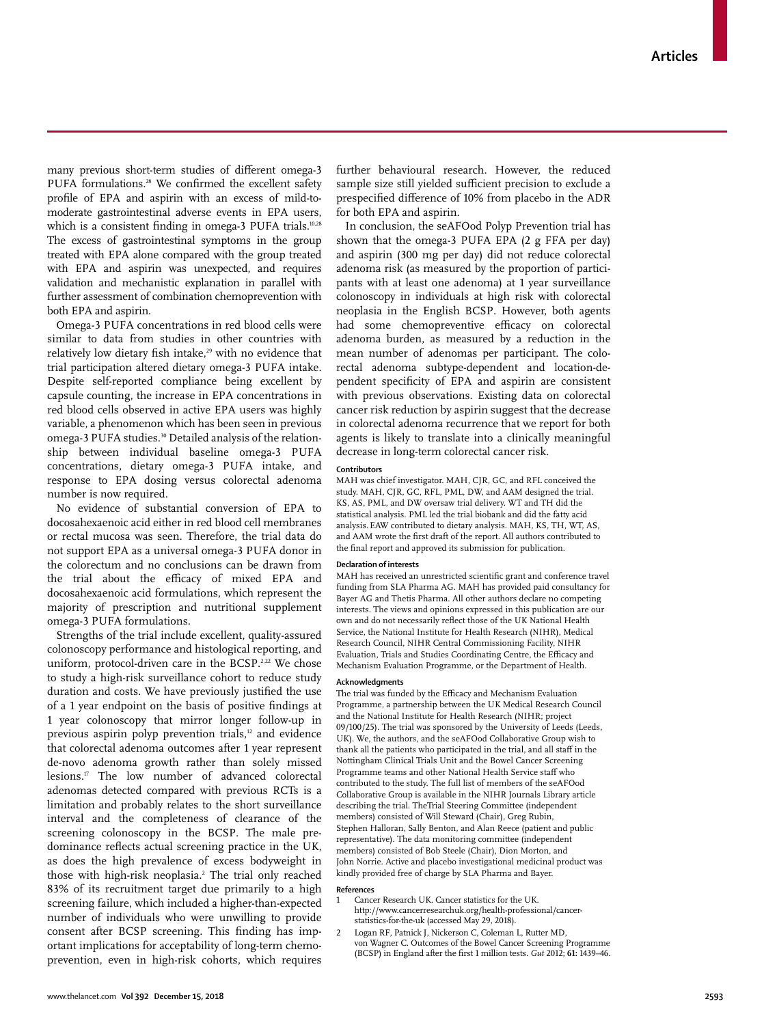many previous short-term studies of different omega-3 PUFA formulations.<sup>28</sup> We confirmed the excellent safety profile of EPA and aspirin with an excess of mild-tomoderate gastrointestinal adverse events in EPA users, which is a consistent finding in omega-3 PUFA trials.<sup>10,28</sup> The excess of gastrointestinal symptoms in the group treated with EPA alone compared with the group treated with EPA and aspirin was unexpected, and requires validation and mechanistic explanation in parallel with further assessment of combination chemoprevention with both EPA and aspirin.

Omega-3 PUFA concentrations in red blood cells were similar to data from studies in other countries with relatively low dietary fish intake,<sup>29</sup> with no evidence that trial participation altered dietary omega-3 PUFA intake. Despite self-reported compliance being excellent by capsule counting, the increase in EPA concentrations in red blood cells observed in active EPA users was highly variable, a phenomenon which has been seen in previous omega-3 PUFA studies.<sup>30</sup> Detailed analysis of the relationship between individual baseline omega-3 PUFA concentrations, dietary omega-3 PUFA intake, and response to EPA dosing versus colorectal adenoma number is now required.

No evidence of substantial conversion of EPA to docosahexaenoic acid either in red blood cell membranes or rectal mucosa was seen. Therefore, the trial data do not support EPA as a universal omega-3 PUFA donor in the colorectum and no conclusions can be drawn from the trial about the efficacy of mixed EPA and docosahexaenoic acid formulations, which represent the majority of prescription and nutritional supplement omega-3 PUFA formulations.

Strengths of the trial include excellent, quality-assured colonoscopy performance and histological reporting, and uniform, protocol-driven care in the BCSP.<sup>2,22</sup> We chose to study a high-risk surveillance cohort to reduce study duration and costs. We have previously justified the use of a 1 year endpoint on the basis of positive findings at 1 year colonoscopy that mirror longer follow-up in previous aspirin polyp prevention trials, $12$  and evidence that colorectal adenoma outcomes after 1 year represent de-novo adenoma growth rather than solely missed lesions.17 The low number of advanced colorectal adenomas detected compared with previous RCTs is a limitation and probably relates to the short surveillance interval and the completeness of clearance of the screening colonoscopy in the BCSP. The male predominance reflects actual screening practice in the UK, as does the high prevalence of excess bodyweight in those with high-risk neoplasia.2 The trial only reached 83% of its recruitment target due primarily to a high screening failure, which included a higher-than-expected number of individuals who were unwilling to provide consent after BCSP screening. This finding has important implications for acceptability of long-term chemoprevention, even in high-risk cohorts, which requires

further behavioural research. However, the reduced sample size still yielded sufficient precision to exclude a prespecified difference of 10% from placebo in the ADR for both EPA and aspirin.

In conclusion, the seAFOod Polyp Prevention trial has shown that the omega-3 PUFA EPA (2 g FFA per day) and aspirin (300 mg per day) did not reduce colorectal adenoma risk (as measured by the proportion of participants with at least one adenoma) at 1 year surveillance colonoscopy in individuals at high risk with colorectal neoplasia in the English BCSP. However, both agents had some chemopreventive efficacy on colorectal adenoma burden, as measured by a reduction in the mean number of adenomas per participant. The colorectal adenoma subtype-dependent and location-dependent specificity of EPA and aspirin are consistent with previous observations. Existing data on colorectal cancer risk reduction by aspirin suggest that the decrease in colorectal adenoma recurrence that we report for both agents is likely to translate into a clinically meaningful decrease in long-term colorectal cancer risk.

#### **Contributors**

MAH was chief investigator. MAH, CJR, GC, and RFL conceived the study. MAH, CJR, GC, RFL, PML, DW, and AAM designed the trial. KS, AS, PML, and DW oversaw trial delivery. WT and TH did the statistical analysis. PML led the trial biobank and did the fatty acid analysis.EAW contributed to dietary analysis. MAH, KS, TH, WT, AS, and AAM wrote the first draft of the report. All authors contributed to the final report and approved its submission for publication.

#### **Declaration of interests**

MAH has received an unrestricted scientific grant and conference travel funding from SLA Pharma AG. MAH has provided paid consultancy for Bayer AG and Thetis Pharma. All other authors declare no competing interests. The views and opinions expressed in this publication are our own and do not necessarily reflect those of the UK National Health Service, the National Institute for Health Research (NIHR), Medical Research Council, NIHR Central Commissioning Facility, NIHR Evaluation, Trials and Studies Coordinating Centre, the Efficacy and Mechanism Evaluation Programme, or the Department of Health.

#### **Acknowledgments**

The trial was funded by the Efficacy and Mechanism Evaluation Programme, a partnership between the UK Medical Research Council and the National Institute for Health Research (NIHR; project 09/100/25). The trial was sponsored by the University of Leeds (Leeds, UK). We, the authors, and the seAFOod Collaborative Group wish to thank all the patients who participated in the trial, and all staff in the Nottingham Clinical Trials Unit and the Bowel Cancer Screening Programme teams and other National Health Service staff who contributed to the study. The full list of members of the seAFOod Collaborative Group is available in the NIHR Journals Library article describing the trial. TheTrial Steering Committee (independent members) consisted of Will Steward (Chair), Greg Rubin, Stephen Halloran, Sally Benton, and Alan Reece (patient and public representative). The data monitoring committee (independent members) consisted of Bob Steele (Chair), Dion Morton, and John Norrie. Active and placebo investigational medicinal product was kindly provided free of charge by SLA Pharma and Bayer.

#### **References**

- 1 Cancer Research UK. Cancer statistics for the UK. http://www.cancerresearchuk.org/health-professional/cancerstatistics-for-the-uk (accessed May 29, 2018).
- 2 Logan RF, Patnick J, Nickerson C, Coleman L, Rutter MD, von Wagner C. Outcomes of the Bowel Cancer Screening Programme (BCSP) in England after the first 1 million tests. *Gut* 2012; **61:** 1439–46.